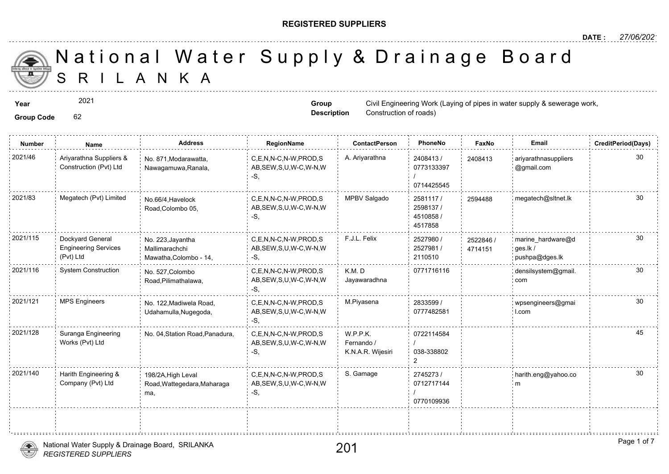#### **REGISTERED SUPPLIERS**

**Group Description**

Construction of roads)

S R I L A N K A National Water Supply & Drainage

**Year** Civil Engineering Work (Laying of pipes in the supply of pipes in the supply of pipes in the supply of pipe

#### **Group Code** 62

2021

| <b>Number</b> | Name                                                         | <b>Address</b>                                                | RegionName                                                   | <b>ContactPerson</b>                        | PhoneNo                                       | Faxl             |
|---------------|--------------------------------------------------------------|---------------------------------------------------------------|--------------------------------------------------------------|---------------------------------------------|-----------------------------------------------|------------------|
| 2021/46       | Ariyarathna Suppliers &<br>Construction (Pvt) Ltd            | No. 871, Modarawatta,<br>Nawagamuwa, Ranala,                  | C,E,N,N-C,N-W,PROD,S<br>AB, SEW, S, U, W-C, W-N, W<br>-S.    | A. Ariyarathna                              | 2408413/<br>0773133397<br>0714425545          | 240841           |
| 2021/83       | Megatech (Pvt) Limited                                       | No.66/4. Havelock<br>Road, Colombo 05,                        | C.E.N.N-C.N-W.PROD.S<br>AB, SEW, S, U, W-C, W-N, W<br>$-S$ . | MPBV Salgado                                | 2581117/<br>2598137 /<br>4510858 /<br>4517858 | 259448           |
| 2021/115      | Dockyard General<br><b>Engineering Services</b><br>(Pvt) Ltd | No. 223, Jayantha<br>Mallimarachchi<br>Mawatha, Colombo - 14, | C.E.N.N-C.N-W.PROD.S<br>AB, SEW, S, U, W-C, W-N, W<br>-S,    | F.J.L. Felix                                | 2527980 /<br>2527981 /<br>2110510             | 252284<br>471415 |
| 2021/116      | <b>System Construction</b>                                   | No. 527, Colombo<br>Road, Pilimathalawa,                      | C.E.N.N-C.N-W.PROD.S<br>AB, SEW, S, U, W-C, W-N, W<br>-S.    | K.M.D<br>Jayawaradhna                       | 0771716116                                    |                  |
| 2021/121      | <b>MPS Engineers</b>                                         | No. 122, Madiwela Road,<br>Udahamulla, Nugegoda,              | C.E.N.N-C.N-W.PROD.S<br>AB, SEW, S, U, W-C, W-N, W           | M.Piyasena                                  | 2833599 /<br>0777482581                       |                  |
| 2021/128      | Suranga Engineering<br>Works (Pvt) Ltd                       | No. 04, Station Road, Panadura,                               | C.E.N.N-C.N-W.PROD.S<br>AB, SEW, S, U, W-C, W-N, W<br>-S.    | W.P.P.K.<br>Fernando /<br>K.N.A.R. Wijesiri | 0722114584<br>038-338802<br>っ                 |                  |
| 2021/140      | Harith Engineering &<br>Company (Pvt) Ltd                    | 198/2A, High Leval<br>Road, Wattegedara, Maharaga<br>ma,      | C.E.N.N-C.N-W.PROD.S<br>AB, SEW, S, U, W-C, W-N, W<br>$-S$ , | S. Gamage                                   | 2745273/<br>0712717144<br>0770109936          |                  |
|               |                                                              |                                                               |                                                              |                                             |                                               |                  |

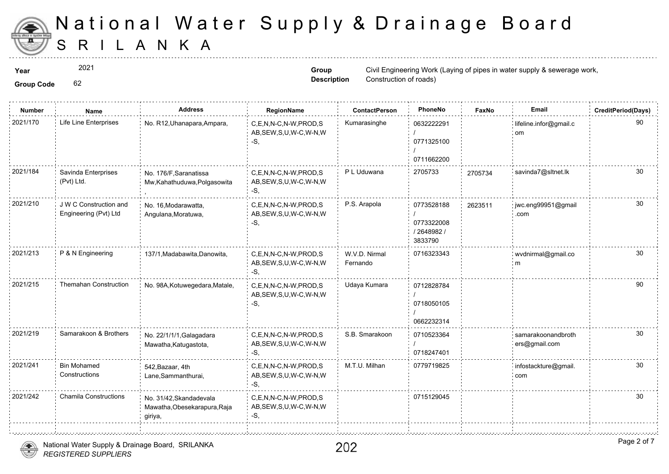

2021

**Group Code** 62

**Group Description**

**Year** Civil Engineering Work (Laying of pipes in the supply of pipes in the supply of pipes in the set of proplem of pipes in the set of the set of the set of the set of the set of the set of the set of the set of the set Construction of roads)

| <b>Group Code</b> |  |
|-------------------|--|

| <b>Number</b> | Name                                            | <b>Address</b>                                                     | RegionName                                                   | <b>ContactPerson</b>      | PhoneNo                                          | Faxl   |
|---------------|-------------------------------------------------|--------------------------------------------------------------------|--------------------------------------------------------------|---------------------------|--------------------------------------------------|--------|
| 2021/170      | Life Line Enterprises                           | No. R12, Uhanapara, Ampara,                                        | C,E,N,N-C,N-W,PROD,S<br>AB, SEW, S, U, W-C, W-N, W<br>$-S$ . | Kumarasinghe              | 0632222291<br>0771325100<br>0711662200           |        |
| 2021/184      | Savinda Enterprises<br>(Pvt) Ltd.               | No. 176/F, Saranatissa<br>Mw, Kahathuduwa, Polgasowita             | C.E.N.N-C.N-W.PROD.S<br>AB, SEW, S, U, W-C, W-N, W<br>-S,    | P L Uduwana               | 2705733                                          | 270573 |
| 2021/210      | J W C Construction and<br>Engineering (Pvt) Ltd | No. 16, Modarawatta,<br>Angulana, Moratuwa,                        | C,E,N,N-C,N-W,PROD,S<br>AB, SEW, S, U, W-C, W-N, W<br>-S.    | P.S. Arapola              | 0773528188<br>0773322008<br>2648982 /<br>3833790 | 262351 |
| 2021/213      | P & N Engineering                               | 137/1, Madabawita, Danowita,                                       | C,E,N,N-C,N-W,PROD,S<br>AB, SEW, S, U, W-C, W-N, W<br>$-S$ . | W.V.D. Nirmal<br>Fernando | 0716323343                                       |        |
| 2021/215      | <b>Themahan Construction</b>                    | No. 98A, Kotuwegedara, Matale,                                     | C,E,N,N-C,N-W,PROD,S<br>AB, SEW, S, U, W-C, W-N, W<br>-S,    | Udaya Kumara              | 0712828784<br>0718050105<br>0662232314           |        |
| 2021/219      | Samarakoon & Brothers                           | No. 22/1/1/1, Galagadara<br>Mawatha, Katugastota,                  | C,E,N,N-C,N-W,PROD,S<br>AB, SEW, S, U, W-C, W-N, W<br>-S.    | S.B. Smarakoon            | 0710523364<br>0718247401                         |        |
| 2021/241      | <b>Bin Mohamed</b><br>Constructions             | 542, Bazaar, 4th<br>Lane, Sammanthurai,                            | C,E,N,N-C,N-W,PROD,S<br>AB, SEW, S, U, W-C, W-N, W<br>-S.    | M.T.U. Milhan             | 0779719825                                       |        |
| 2021/242      | <b>Chamila Constructions</b>                    | No. 31/42, Skandadevala<br>Mawatha, Obesekarapura, Raja<br>giriya, | C,E,N,N-C,N-W,PROD,S<br>AB, SEW, S, U, W-C, W-N, W<br>-S,    |                           | 0715129045                                       |        |
|               |                                                 |                                                                    |                                                              |                           |                                                  |        |

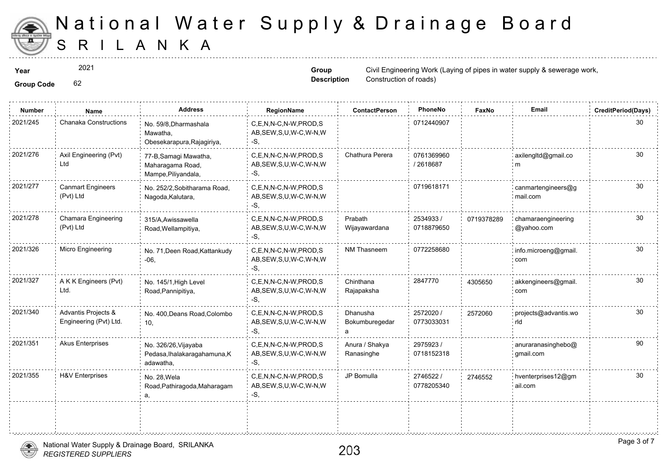

2021

**Group Description**

**Year** Civil Engineering Work (Laying of pipes in the supply of pipes in the supply of pipes in the set of proplem of pipes in the set of the set of the set of the set of the set of the set of the set of the set of the set Construction of roads)

**Group Code** 62

| <b>Number</b> | Name                                          | <b>Address</b>                                                    | RegionName                                                  | <b>ContactPerson</b>            | PhoneNo                 | Faxl   |
|---------------|-----------------------------------------------|-------------------------------------------------------------------|-------------------------------------------------------------|---------------------------------|-------------------------|--------|
| 2021/245      | Chanaka Constructions                         | No. 59/8, Dharmashala<br>Mawatha,<br>Obesekarapura, Rajagiriya,   | C,E,N,N-C,N-W,PROD,S<br>AB, SEW, S, U, W-C, W-N, W<br>-S.   |                                 | 0712440907              |        |
| 2021/276      | Axil Engineering (Pvt)<br>Ltd                 | 77-B, Samagi Mawatha,<br>Maharagama Road,<br>Mampe, Piliyandala,  | C.E.N.N-C.N-W.PROD.S<br>AB, SEW, S, U, W-C, W-N, W<br>-S.   | Chathura Perera                 | 0761369960<br>/2618687  |        |
| 2021/277      | <b>Canmart Engineers</b><br>(Pvt) Ltd         | No. 252/2, Sobitharama Road,<br>Nagoda, Kalutara,                 | C,E,N,N-C,N-W,PROD,S<br>AB, SEW, S, U, W-C, W-N, W<br>-S.   |                                 | 0719618171              |        |
| 2021/278      | Chamara Engineering<br>(Pvt) Ltd              | 315/A, Awissawella<br>Road, Wellampitiya,                         | C.E.N.N-C.N-W.PROD.S<br>AB, SEW, S, U, W-C, W-N, W<br>-S.   | Prabath<br>Wijayawardana        | 2534933 /<br>0718879650 | 071937 |
| 2021/326      | <b>Micro Engineering</b>                      | No. 71, Deen Road, Kattankudy<br>$-06,$                           | C.E.N.N-C.N-W.PROD.S<br>AB, SEW, S, U, W-C, W-N, W<br>$-S,$ | <b>NM Thasneem</b>              | 0772258680              |        |
| 2021/327      | A K K Engineers (Pvt)<br>Ltd.                 | No. 145/1, High Level<br>Road, Pannipitiya,                       | C,E,N,N-C,N-W,PROD,S<br>AB, SEW, S, U, W-C, W-N, W<br>-S.   | Chinthana<br>Rajapaksha         | 2847770                 | 430565 |
| 2021/340      | Advantis Projects &<br>Engineering (Pvt) Ltd. | No. 400, Deans Road, Colombo<br>10,                               | C,E,N,N-C,N-W,PROD,S<br>AB, SEW, S, U, W-C, W-N, W<br>-S.   | Dhanusha<br>Bokumburegedar<br>a | 2572020 /<br>0773033031 | 257206 |
| 2021/351      | <b>Akus Enterprises</b>                       | No. 326/26, Vijayaba<br>Pedasa, Ihalakaragahamuna, K<br>adawatha, | C,E,N,N-C,N-W,PROD,S<br>AB, SEW, S, U, W-C, W-N, W<br>-S.   | Anura / Shakya<br>Ranasinghe    | 2975923 /<br>0718152318 |        |
| 2021/355      | <b>H&amp;V Enterprises</b>                    | No. 28, Wela<br>Road, Pathiragoda, Maharagam<br>а,                | C.E.N.N-C.N-W.PROD.S<br>AB, SEW, S, U, W-C, W-N, W<br>$-S,$ | JP Bomulla                      | 2746522 /<br>0778205340 | 274655 |
|               |                                               |                                                                   |                                                             |                                 |                         |        |

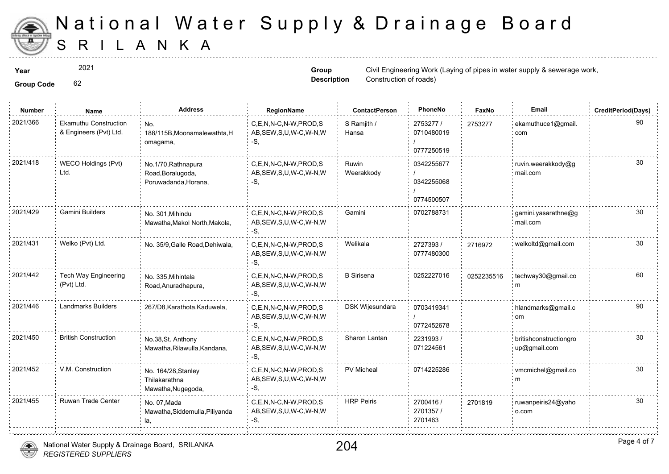

2021

**Group Code** 62

**Group Description**

**Year** Civil Engineering Work (Laying of pipes in the supply of pipes in the supply of pipes in the set of proplem of pipes in the set of the set of the set of the set of the set of the set of the set of the set of the set Construction of roads)

| <b>Group Code</b> |  |
|-------------------|--|

| <b>Number</b> | Name                                                   | <b>Address</b>                                                   | RegionName                                                   | <b>ContactPerson</b> | PhoneNo                                | Faxl   |
|---------------|--------------------------------------------------------|------------------------------------------------------------------|--------------------------------------------------------------|----------------------|----------------------------------------|--------|
| 2021/366      | <b>Ekamuthu Construction</b><br>& Engineers (Pvt) Ltd. | No.<br>188/115B, Moonamalewathta, H<br>omagama,                  | C,E,N,N-C,N-W,PROD,S<br>AB, SEW, S, U, W-C, W-N, W<br>$-S.$  | S Ramjith /<br>Hansa | 2753277 /<br>0710480019<br>0777250519  | 275327 |
| 2021/418      | WECO Holdings (Pvt)<br>Ltd.                            | No.1/70, Rathnapura<br>Road, Boralugoda,<br>Poruwadanda, Horana, | C,E,N,N-C,N-W,PROD,S<br>AB, SEW, S, U, W-C, W-N, W<br>$-S$ . | Ruwin<br>Weerakkody  | 0342255677<br>0342255068<br>0774500507 |        |
| 2021/429      | Gamini Builders                                        | No. 301, Mihindu<br>Mawatha, Makol North, Makola,                | C,E,N,N-C,N-W,PROD,S<br>AB, SEW, S, U, W-C, W-N, W<br>-S.    | Gamini               | 0702788731                             |        |
| 2021/431      | Welko (Pvt) Ltd.                                       | No. 35/9, Galle Road, Dehiwala,                                  | C.E.N.N-C.N-W.PROD.S<br>AB, SEW, S, U, W-C, W-N, W<br>-S.    | Welikala             | 2727393/<br>0777480300                 | 271697 |
| 2021/442      | <b>Tech Way Engineering</b><br>(Pvt) Ltd.              | No. 335, Mihintala<br>Road, Anuradhapura,                        | C.E.N.N-C.N-W.PROD.S<br>AB, SEW, S, U, W-C, W-N, W<br>-S,    | <b>B</b> Sirisena    | 0252227016                             | 025223 |
| 2021/446      | <b>Landmarks Builders</b>                              | 267/D8, Karathota, Kaduwela,                                     | C,E,N,N-C,N-W,PROD,S<br>AB, SEW, S, U, W-C, W-N, W<br>-S,    | DSK Wijesundara      | 0703419341<br>0772452678               |        |
| 2021/450      | <b>British Construction</b>                            | No.38, St. Anthony<br>Mawatha, Rilawulla, Kandana,               | C.E.N.N-C.N-W.PROD.S<br>AB, SEW, S, U, W-C, W-N, W<br>$-S$ . | Sharon Lantan        | 2231993/<br>071224561                  |        |
| 2021/452      | V.M. Construction                                      | No. 164/28, Stanley<br>Thilakarathna<br>Mawatha, Nugegoda,       | C,E,N,N-C,N-W,PROD,S<br>AB, SEW, S, U, W-C, W-N, W<br>-S.    | PV Micheal           | 0714225286                             |        |
| 2021/455      | Ruwan Trade Center                                     | No. 07, Mada<br>Mawatha, Siddemulla, Piliyanda<br>la.            | C,E,N,N-C,N-W,PROD,S<br>AB, SEW, S, U, W-C, W-N, W<br>-S,    | <b>HRP Peiris</b>    | 2700416 /<br>2701357/<br>2701463       | 270181 |
|               |                                                        |                                                                  |                                                              |                      |                                        |        |



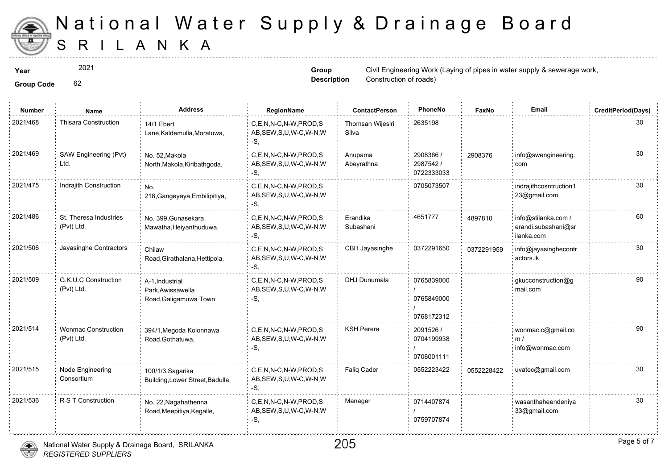

**Group Code** 62 2021

**Group Description**

**Year** Civil Engineering Work (Laying of pipes in the supply of pipes in the supply of pipes in the set of proplem of pipes in the set of the set of the set of the set of the set of the set of the set of the set of the set Construction of roads)

| <b>Group Code</b> |
|-------------------|
|                   |

| <b>Number</b> | Name                                     | <b>Address</b>                                                 | RegionName                                                   | <b>ContactPerson</b>      | PhoneNo                                | Faxl   |
|---------------|------------------------------------------|----------------------------------------------------------------|--------------------------------------------------------------|---------------------------|----------------------------------------|--------|
| 2021/468      | <b>Thisara Construction</b>              | 14/1, Ebert<br>Lane, Kaldemulla, Moratuwa,                     | C,E,N,N-C,N-W,PROD,S<br>AB, SEW, S, U, W-C, W-N, W<br>$-S$ . | Thomsan Wijesiri<br>Silva | 2635198                                |        |
| 2021/469      | SAW Engineering (Pvt)<br>Ltd.            | No. 52, Makola<br>North, Makola, Kiribathgoda,                 | C.E.N.N-C.N-W.PROD.S<br>AB, SEW, S, U, W-C, W-N, W<br>-S.    | Anupama<br>Abeyrathna     | 2908366 /<br>2987542 /<br>0722333033   | 290837 |
| 2021/475      | Indrajith Construction                   | No.<br>218, Gangeyaya, Embilipitiya,                           | C,E,N,N-C,N-W,PROD,S<br>AB, SEW, S, U, W-C, W-N, W<br>-S.    |                           | 0705073507                             |        |
| 2021/486      | St. Theresa Industries<br>(Pvt) Ltd.     | No. 399, Gunasekara<br>Mawatha, Heiyanthuduwa,                 | C.E.N.N-C.N-W.PROD.S<br>AB, SEW, S, U, W-C, W-N, W<br>$-S,$  | Erandika<br>Subashani     | 4651777                                | 489781 |
| 2021/506      | Jayasinghe Contractors                   | Chilaw<br>Road, Girathalana, Hettipola,                        | C,E,N,N-C,N-W,PROD,S<br>AB, SEW, S, U, W-C, W-N, W<br>-S,    | CBH Jayasinghe            | 0372291650                             | 037229 |
| 2021/509      | G.K.U.C Construction<br>(Pvt) Ltd.       | A-1, Industrial<br>Park, Awissawella<br>Road, Galigamuwa Town, | C.E.N.N-C.N-W.PROD.S<br>AB, SEW, S, U, W-C, W-N, W<br>$-S$ . | DHJ Dunumala              | 0765839000<br>0765849000<br>0768172312 |        |
| 2021/514      | <b>Wonmac Construction</b><br>(Pvt) Ltd. | 394/1, Megoda Kolonnawa<br>Road, Gothatuwa,                    | C,E,N,N-C,N-W,PROD,S<br>AB, SEW, S, U, W-C, W-N, W<br>-S.    | <b>KSH Perera</b>         | 2091526 /<br>0704199938<br>0706001111  |        |
| 2021/515      | Node Engineering<br>Consortium           | 100/1/3, Sagarika<br>Building, Lower Street, Badulla,          | C,E,N,N-C,N-W,PROD,S<br>AB, SEW, S, U, W-C, W-N, W<br>-S,    | <b>Faliq Cader</b>        | 0552223422                             | 055222 |
| 2021/536      | R S T Construction                       | No. 22, Nagahathenna<br>Road, Meepitiya, Kegalle,              | C,E,N,N-C,N-W,PROD,S<br>AB, SEW, S, U, W-C, W-N, W<br>-S.    | Manager                   | 0714407874<br>0759707874               |        |
|               |                                          |                                                                |                                                              |                           |                                        |        |



aanahannan manaanan man

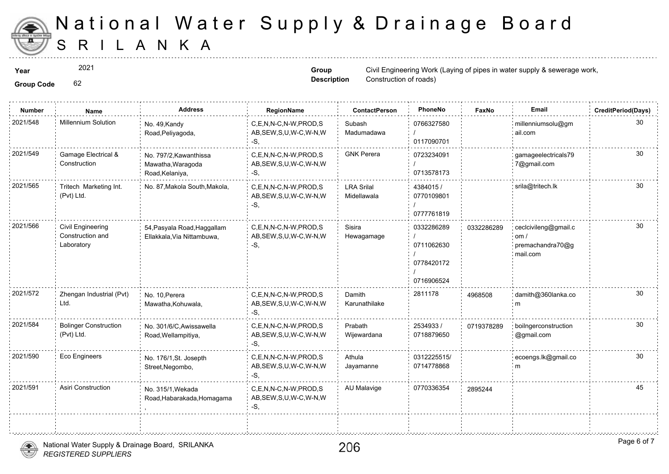

2021

**Group Description**

**Year** Civil Engineering Work (Laying of pipes in the supply of pipes in the supply of pipes in the set of proplem of pipes in the set of the set of the set of the set of the set of the set of the set of the set of the set Construction of roads)

**Group Code** 62

| <b>Number</b> | <b>Name</b>                                         | <b>Address</b>                                                 | RegionName                                                   | <b>ContactPerson</b>             | PhoneNo                                              | Faxl   |
|---------------|-----------------------------------------------------|----------------------------------------------------------------|--------------------------------------------------------------|----------------------------------|------------------------------------------------------|--------|
| 2021/548      | <b>Millennium Solution</b>                          | No. 49, Kandy<br>Road, Peliyagoda,                             | C,E,N,N-C,N-W,PROD,S<br>AB, SEW, S, U, W-C, W-N, W<br>-S.    | Subash<br>Madumadawa             | 0766327580<br>0117090701                             |        |
| 2021/549      | Gamage Electrical &<br>Construction                 | No. 797/2, Kawanthissa<br>Mawatha, Waragoda<br>Road, Kelaniya, | C,E,N,N-C,N-W,PROD,S<br>AB, SEW, S, U, W-C, W-N, W<br>-S.    | <b>GNK Perera</b>                | 0723234091<br>0713578173                             |        |
| 2021/565      | Tritech Marketing Int.<br>(Pvt) Ltd.                | No. 87, Makola South, Makola,                                  | C.E.N.N-C.N-W.PROD.S<br>AB, SEW, S, U, W-C, W-N, W<br>$-S$ , | <b>LRA Srilal</b><br>Midellawala | 4384015/<br>0770109801<br>0777761819                 |        |
| 2021/566      | Civil Engineering<br>Construction and<br>Laboratory | 54, Pasyala Road, Haggallam<br>Ellakkala, Via Nittambuwa,      | C.E.N.N-C.N-W.PROD.S<br>AB, SEW, S, U, W-C, W-N, W<br>-S.    | Sisira<br>Hewagamage             | 0332286289<br>0711062630<br>0778420172<br>0716906524 | 033228 |
| 2021/572      | Zhengan Industrial (Pvt)<br>Ltd.                    | No. 10, Perera<br>Mawatha, Kohuwala,                           | C.E.N.N-C.N-W.PROD.S<br>AB, SEW, S, U, W-C, W-N, W<br>$-S$ . | Damith<br>Karunathilake          | 2811178                                              | 496850 |
| 2021/584      | <b>Bolinger Construction</b><br>(Pvt) Ltd.          | No. 301/6/C, Awissawella<br>Road, Wellampitiya,                | C,E,N,N-C,N-W,PROD,S<br>AB, SEW, S, U, W-C, W-N, W<br>-S.    | Prabath<br>Wijewardana           | 2534933/<br>0718879650                               | 071937 |
| 2021/590      | Eco Engineers                                       | No. 176/1, St. Josepth<br>Street, Negombo,                     | C,E,N,N-C,N-W,PROD,S<br>AB, SEW, S, U, W-C, W-N, W<br>-S.    | Athula<br>Jayamanne              | 0312225515/<br>0714778868                            |        |
| 2021/591      | <b>Asiri Construction</b>                           | No. 315/1, Wekada<br>Road, Habarakada, Homagama                | C,E,N,N-C,N-W,PROD,S<br>AB, SEW, S, U, W-C, W-N, W<br>-S,    | AU Malavige                      | 0770336354                                           | 289524 |
|               |                                                     |                                                                |                                                              |                                  |                                                      |        |

,,,,,,,,,,,,,,,,,,,,,,,,,,,,,,,,,,,,,